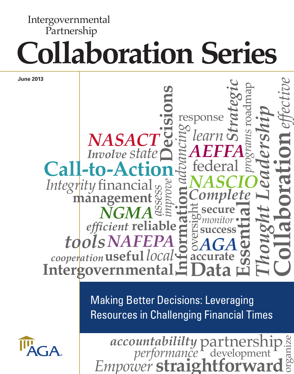# **Collaboration Series** Intergovernmental Partnership

**June 2013**

## **Intergovernmental Information** *Integrity* financial *cooperation local* **useful** federal *state Involve* **management** roadmap response *Thought Leadership programs* **Decisions Essential** *effective* Partnership **secure** *monitor* **accurate** *advancing NGMA AGA AEFFA NASCIO* **NASACT** *NAFEPA tools learn Strategic assess improve* Complete<br>
Esecure<br>
<u>Gomonitor</u><br>
Complete<br>
Complete<br>
Complete<br>
Complete<br>
Complete<br>
Complete<br>
Complete<br>
Complete<br>
Complete<br>
Complete<br>
Complete<br>
Complete<br>
Complete<br>
Complete<br>
Complete<br>
Complete<br>
Complete<br>
Complete<br>
Complete<br> **reliable** *efficient* **Data success Call-to-Action**

Making Better Decisions: Leveraging Resources in Challenging Financial Times



*Empower* **straightforward** organize *performance accountabililty* development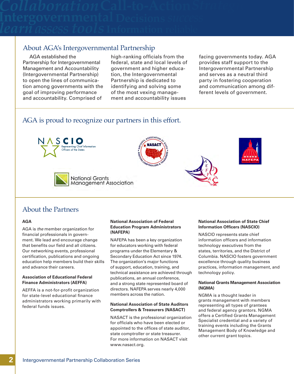## About AGA's Intergovernmental Partnership

AGA established the Partnership for Intergovernmental Management and Accountability (Intergovernmental Partnership) to open the lines of communication among governments with the goal of improving performance and accountability. Comprised of

high-ranking officials from the federal, state and local levels of government and higher education, the Intergovernmental Partnership is dedicated to identifying and solving some of the most vexing management and accountability issues

facing governments today. AGA provides staff support to the Intergovernmental Partnership and serves as a neutral third party in fostering cooperation and communication among different levels of government.

## AGA is proud to recognize our partners in this effort.











## About the Partners

## **AGA**

AGA is *the* member organization for financial professionals in government. We lead and encourage change that benefits our field and all citizens. Our networking events, professional certification, publications and ongoing education help members build their skills and advance their careers.

## **Association of Educational Federal Finance Administrators (AEFFA)**

AEFFA is a not-for-profit organization for state-level educational finance administrators working primarily with federal funds issues.

#### **National Association of Federal Education Program Administrators (NAFEPA)**

NAFEPA has been a key organization for educators working with federal programs under the Elementary & Secondary Education Act since 1974. The organization's major functions of support, education, training, and technical assistance are achieved through publications, an annual conference, and a strong state represented board of directors. NAFEPA serves nearly 4,000 members across the nation.

#### **National Association of State Auditors Comptrollers & Treasurers (NASACT)**

NASACT is the professional organization for officials who have been elected or appointed to the offices of state auditor, state comptroller or state treasurer. For more information on NASACT visit www.nasact.org.

## **National Association of State Chief Information Officers (NASCIO)**

NASCIO represents state chief information officers and information technology executives from the states, territories, and the District of Columbia. NASCIO fosters government excellence through quality business practices, information management, and technology policy.

#### **National Grants Management Association (NGMA)**

NGMA is a thought leader in grants management with members representing all types of grantees and federal agency grantors. NGMA offers a Certified Grants Management Specialist credential and a variety of training events including the Grants Management Body of Knowledge and other current grant topics.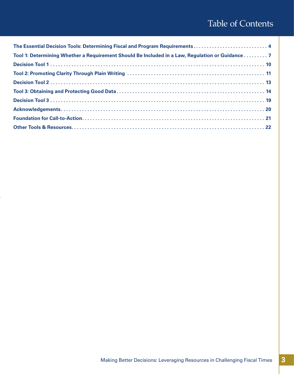## Table of Contents

| The Essential Decision Tools: Determining Fiscal and Program Requirements 4                     |  |
|-------------------------------------------------------------------------------------------------|--|
| Tool 1: Determining Whether a Requirement Should Be Included in a Law, Regulation or Guidance 7 |  |
|                                                                                                 |  |
|                                                                                                 |  |
|                                                                                                 |  |
|                                                                                                 |  |
|                                                                                                 |  |
|                                                                                                 |  |
|                                                                                                 |  |
|                                                                                                 |  |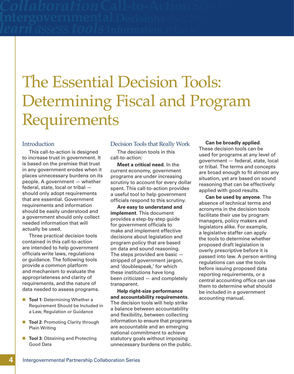# The Essential Decision Tools: Determining Fiscal and Program Requirements

## **Introduction**

This call-to-action is designed to increase trust in government. It is based on the premise that trust in any government erodes when it places unnecessary burdens on its people. A government — whether federal, state, local or tribal should only adopt requirements that are essential. Government requirements and information should be easily understood and a government should only collect needed information that will actually be used.

Three practical decision tools contained in this call-to-action are intended to help government officials write laws, regulations or guidance. The following tools provide a common platform and mechanism to evaluate the appropriateness and clarity of requirements, and the nature of data needed to assess programs.

- **Tool 1: Determining Whether a** Requirement Should be Included in a Law, Regulation or Guidance
- **Tool 2: Promoting Clarity through** Plain Writing
- **Tool 3**: Obtaining and Protecting Good Data

## Decision Tools that Really Work

The decision tools in this call-to-action:

**Meet a critical need**. In the current economy, government programs are under increasing scrutiny to account for every dollar spent. This call-to-action provides a useful tool to help government officials respond to this scrutiny.

**Are easy to understand and implement**. This document provides a step-by-step guide for government officials to make and implement effective decisions about legislation and program policy that are based on data and sound reasoning. The steps provided are basic stripped of government jargon, and 'doublespeak,' for which these institutions have long been criticized — and completely transparent.

**Help right-size performance and accountability requirements**. The decision tools will help strike a balance between accountability and flexibility, between collecting information to ensure that programs are accountable and an emerging national commitment to achieve statutory goals without imposing unnecessary burdens on the public.

#### **Can be broadly applied**.

These decision tools can be used for programs at any level of government — federal, state, local or tribal. The terms and concepts are broad enough to fit almost any situation, yet are based on sound reasoning that can be effectively applied with good results.

**Can be used by anyone**. The absence of technical terms and acronyms in the decision tools facilitate their use by program managers, policy makers and legislators alike. For example, a legislative staffer can apply the tools to determine whether proposed draft legislation is overly prescriptive before it is passed into law. A person writing regulations can use the tools before issuing proposed data reporting requirements, or a central accounting office can use them to determine what should be included in a government accounting manual.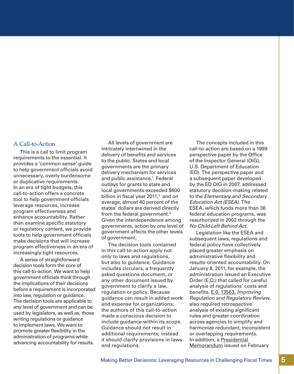## A Call-to-Action

This is a call to limit program requirements to the essential. It provides a 'common sense' guide to help government officials avoid unnecessary, overly burdensome or duplicative requirements. In an era of tight budgets, this call-to-action offers a concrete tool to help government officials leverage resources, increase program effectiveness and enhance accountability. Rather than examine specific statutory or regulatory content, we provide tools to help government officials make decisions that will increase program effectiveness in an era of increasingly tight resources.

A series of straightforward decision tools form the core of this call-to-action. We want to help government officials think through the implications of their decisions before a requirement is incorporated into law, regulation or guidance. The decision tools are applicable to any level of government and can be used by legislators, as well as, those writing regulations or guidance to implement laws. We want to promote greater flexibility in the administration of programs while advancing accountability for results.

All levels of government are intricately intertwined in the delivery of benefits and services to the public. States and local governments are the primary delivery mechanism for services and public assistance.<sup>1</sup> Federal outlays for grants to state and local governments exceeded \$600 billion in fiscal year 2011, $^2$  and on average, almost 40 percent of the states' dollars are derived directly from the federal government.3 Given the interdependence among governments, action by one level of government affects the other levels of government.

The decision tools contained in this call-to-action apply not only to laws and regulations, but also to guidance. Guidance includes circulars, a frequently asked questions document, or any other document issued by government to clarify a law, regulation or policy. Because guidance can result in added work and expense for organizations, the authors of this call-to-action made a conscious decision to include guidance within its scope. Guidance should not result in additional requirements; instead it should clarify provisions in laws and regulations.

The concepts included in this call-to-action are based on a 1999 perspective paper by the Office of the Inspector General (OIG), U.S. Department of Education (ED). The perspective paper and a subsequent paper developed by the ED OIG in 2007, addressed statutory decision-making related to the *Elementary and Secondary Education Act (ESEA)*. The ESEA, which funds more than 36 federal education programs, was reauthorized in 2002 through the *No Child Left Behind Act*.

Legislation like the ESEA and subsequent laws, regulations and federal policy have collectively placed greater emphasis on administrative flexibility and results-oriented accountability. On January 8, 2011, for example, the administration issued an Executive Order (E.O.) that called for careful analysis of regulations' costs and benefits. [E.0. 13563,](http://www.whitehouse.gov/the-press-office/2011/01/18/improving-regulation-and-regulatory-review-executive-order) *Improving Regulation and Regulatory Review*, also required retrospective analysis of existing significant rules and greater coordination across agencies to simplify and harmonize redundant, inconsistent or overlapping requirements. [In addition, a Presidential](http://www.whitehouse.gov/the-press-office/2011/02/28/presidential-memorandum-administrative-flexibility)  Memorandum issued on February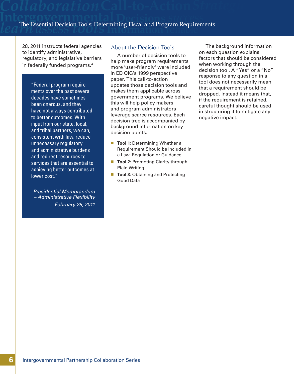28, 2011 instructs federal agencies to identify administrative, regulatory, and legislative barriers in federally funded programs.4

> "Federal program requirements over the past several decades have sometimes been onerous, and they have not always contributed to better outcomes. With input from our state, local, and tribal partners, we can, consistent with law, reduce unnecessary regulatory and administrative burdens and redirect resources to services that are essential to achieving better outcomes at lower cost."

*Presidential Memorandum – Administrative Flexibility February 28, 2011*

## About the Decision Tools

A number of decision tools to help make program requirements more 'user-friendly' were included in ED OIG's 1999 perspective paper. This call-to-action updates those decision tools and makes them applicable across government programs. We believe this will help policy makers and program administrators leverage scarce resources. Each decision tree is accompanied by background information on key decision points.

- **Tool 1: Determining Whether a** Requirement Should be Included in a Law, Regulation or Guidance
- **Tool 2: Promoting Clarity through** Plain Writing
- **Tool 3: Obtaining and Protecting** Good Data

The background information on each question explains factors that should be considered when working through the decision tool. A "Yes" or a "No" response to any question in a tool does not necessarily mean that a requirement should be dropped. Instead it means that, if the requirement is retained, careful thought should be used in structuring it to mitigate any negative impact.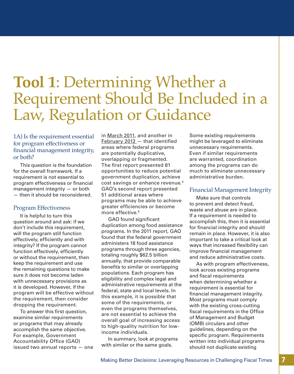## **Tool 1**: Determining Whether a Requirement Should Be Included in a Law, Regulation or Guidance

## 1A) Is the requirement essential for program effectiveness or financial management integrity, or both?

This question is the foundation for the overall framework. If a requirement is not essential to program effectiveness or financial management integrity — or both — then it should be reconsidered.

## Program Effectiveness

It is helpful to turn this question around and ask: if we don't include this requirement, will the program still function effectively, efficiently and with integrity? If the program cannot function effectively, efficiently or without the requirement, then keep the requirement and use the remaining questions to make sure it does not become laden with unnecessary provisions as it is developed. However, if the program will be effective without the requirement, then consider dropping the requirement.

To answer this first question, examine similar requirements or programs that may already accomplish the same objective. For example, Government Accountability Office (GAO) issued two annual reports — one

in [March 2011,](http://www.gao.gov/products/GAO-11-318SP) and another in [February 2012](http://www.gao.gov/products/GAO-12-342SP) - that identified areas where federal programs are potentially duplicative, overlapping or fragmented. The first report presented 81 opportunities to reduce potential government duplication, achieve cost savings or enhance revenue.<sup>5</sup> GAO's second report presented 51 additional areas where programs may be able to achieve greater efficiencies or become more effective.<sup>6</sup>

GAO found significant duplication among food assistance programs. In the 2011 report, GAO found that the federal government administers 18 food assistance programs through three agencies, totaling roughly \$62.5 billion annually, that provide comparable benefits to similar or overlapping populations. Each program has eligibility and complex legal and administrative requirements at the federal, state and local levels. In this example, it is possible that some of the requirements, or even the programs themselves, are not essential to achieve the overall goal of increasing access to high-quality nutrition for lowincome individuals.

In summary, look at programs with similar or the same goals.

Some existing requirements might be leveraged to eliminate unnecessary requirements. Even if similar requirements are warranted, coordination among the programs can do much to eliminate unnecessary administrative burden.

## Financial Management Integrity

Make sure that controls to prevent and detect fraud, waste and abuse are in place. If a requirement is needed to accomplish this, then it is essential for financial integrity and should remain in place. However, it is also important to take a critical look at ways that increased flexibility can improve financial management and reduce administrative costs.

As with program effectiveness, look across existing programs and fiscal requirements when determining whether a requirement is essential for financial management integrity. Most programs must comply with the existing cross-cutting fiscal requirements in the Office of Management and Budget (OMB) circulars and other guidelines, depending on the specific program. Requirements written into individual programs should not duplicate existing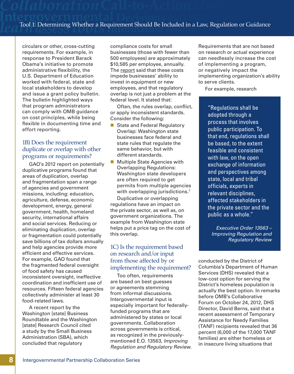circulars or other, cross-cutting requirements. For example, in response to President Barack Obama's initiative to promote administrative flexibility, the U.S. Department of Education worked with federal, state and local stakeholders to develop and issue a grant policy bulletin. The bulletin highlighted ways that program administrators can comply with OMB guidance on cost principles, while being flexible in documenting time and effort reporting.

## 1B) Does the requirement duplicate or overlap with other programs or requirements?

GAO's 2012 report on potentially duplicative programs found that areas of duplication, overlap and fragmentation span a range of agencies and government missions, including: education, agriculture, defense, economic development, energy, general government, health, homeland security, international affairs and social services. Reducing or eliminating duplication, overlap or fragmentation could potentially save billions of tax dollars annually and help agencies provide more efficient and effective services. For example, GAO found that the fragmented federal oversight of food safety has caused inconsistent oversight, ineffective coordination and inefficient use of resources. Fifteen federal agencies collectively administer at least 30 food-related laws.

A recent report by the Washington [state] Business Roundtable and the Washington [state] Research Council cited a study by the Small Business Administration (SBA), which concluded that regulatory

compliance costs for small businesses (those with fewer than 500 employees) are approximately \$10,585 per employee, annually. The [report](http://www.researchcouncil.org/docs/PDF/ThriveWashington/ThriveWARegulatoryReform.pdf) said that these costs impede businesses' ability to invest in equipment or new employees, and that regulatory overlap is not just a problem at the federal level. It stated that:

Often, the rules overlap, conflict, or apply inconsistent standards. Consider the following:

- State and Federal Regulatory Overlap: Washington state businesses face federal and state rules that regulate the same behavior, but with different standards.
- **Multiple State Agencies with** Overlapping Regulations: Washington state developers are often required to get permits from multiple agencies with overlapping jurisdictions.<sup>7</sup> Duplicative or overlapping regulations have an impact on the private sector, as well as, on government organizations. The example from Washington state helps put a price tag on the cost of this overlap.

## 1C) Is the requirement based on research and/or input from those affected by or implementing the requirement?

Too often, requirements are based on best guesses or agreements stemming from informal discussions. Intergovernmental input is especially important for federallyfunded programs that are administered by states or local governments. Collaboration across governments is critical, as recognized in the previouslymentioned E.O. 13563, *Improving Regulation and Regulatory Review*. Requirements that are not based on research or actual experience can needlessly increase the cost of implementing a program, or negatively impact the implementing organization's ability to serve clients.

For example, research

"Regulations shall be adopted through a process that involves public participation. To that end, regulations shall be based, to the extent feasible and consistent with law, on the open exchange of information and perspectives among state, local and tribal officials, experts in relevant disciplines, affected stakeholders in the private sector and the public as a whole."

*Executive Order 13563 – Improving Regulation and Regulatory Review*

conducted by the District of Columbia's Department of Human Services (DHS) revealed that a low-cost option for serving the District's homeless population is actually the best option. In remarks before OMB's Collaborative Forum on October 24, 2012, DHS Director, David Berns, said that a recent assessment of Temporary Assistance for Needy Families (TANF) recipients revealed that 36 percent (6,000 of the 17,000 TANF families) are either homeless or in insecure living situations that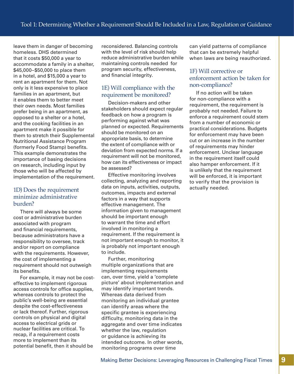leave them in danger of becoming homeless. DHS determined that it costs \$50,000 a year to accommodate a family in a shelter, \$45,000–\$50,000 to place them in a hotel, and \$15,000 a year to rent an apartment for them. Not only is it less expensive to place families in an apartment, but it enables them to better meet their own needs. Most families prefer being in an apartment, as opposed to a shelter or a hotel, and the cooking facilities in an apartment make it possible for them to stretch their Supplemental Nutritional Assistance Program (formerly Food Stamp) benefits. This example demonstrates the importance of basing decisions on research, including input by those who will be affected by implementation of the requirement.

## 1D) Does the requirement minimize administrative burden?

There will always be some cost or administrative burden associated with program and financial requirements, because administrators have a responsibility to oversee, track and/or report on compliance with the requirements. However, the cost of implementing a requirement should not outweigh its benefits.

For example, it may not be costeffective to implement rigorous access controls for office supplies, whereas controls to protect the public's well-being are essential despite the cost-effectiveness or lack thereof. Further, rigorous controls on physical and digital access to electrical grids or nuclear facilities are critical. To recap, if a requirement costs more to implement than its potential benefit, then it should be

reconsidered. Balancing controls with the level of risk should help reduce administrative burden while maintaining controls needed for program security, effectiveness, and financial integrity.

## 1E) Will compliance with the requirement be monitored?

Decision-makers and other stakeholders should expect regular feedback on how a program is performing against what was planned or expected. Requirements should be monitored on an appropriate basis, to determine the extent of compliance with or deviation from expected norms. If a requirement will not be monitored, how can its effectiveness or impact be assessed?

Effective monitoring involves collecting, analyzing and reporting data on inputs, activities, outputs, outcomes, impacts and external factors in a way that supports effective management. The information given to management should be important enough to warrant the time and effort involved in monitoring a requirement. If the requirement is not important enough to monitor, it is probably not important enough to include.

Further, monitoring multiple organizations that are implementing requirements can, over time, yield a 'complete picture' about implementation and may identify important trends. Whereas data derived from monitoring an individual grantee can identify areas where the specific grantee is experiencing difficulty, monitoring data in the aggregate and over time indicates whether the law, regulation or guidance is achieving its intended outcome. In other words, monitoring programs over time

can yield patterns of compliance that can be extremely helpful when laws are being reauthorized.

## 1F) Will corrective or enforcement action be taken for non-compliance?

If no action will be taken for non-compliance with a requirement, the requirement is probably not needed. Failure to enforce a requirement could stem from a number of economic or practical considerations. Budgets for enforcement may have been cut or an increase in the number of requirements may hinder enforcement. Unclear language in the requirement itself could also hamper enforcement. If it is unlikely that the requirement will be enforced, it is important to verify that the provision is actually needed.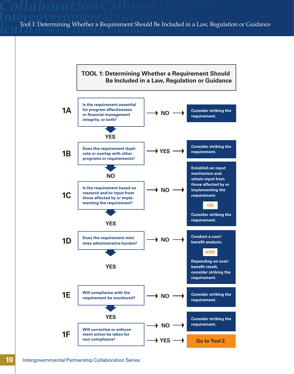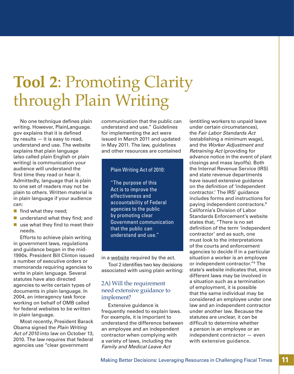# **Tool 2**: Promoting Clarity through Plain Writing

No one technique defines plain writing. However, PlainLanguage. gov explains that it is defined by results — it is easy to read, understand and use. The website explains that plain language (also called plain English or plain writing) is communication your audience will understand the first time they read or hear it. Admittedly, language that is plain to one set of readers may not be plain to others. Written material is in plain language if your audience can:

- $\blacksquare$  find what they need;
- understand what they find; and
- $\blacksquare$  use what they find to meet their needs.

Efforts to achieve plain writing in government laws, regulations and guidance began in the mid-1990s. President Bill Clinton issued a number of executive orders or memoranda requiring agencies to write in plain language. Several statutes have also directed agencies to write certain types of documents in plain language. In 2004, an interagency task force working on behalf of OMB called for federal websites to be written in plain language.

Most recently, President Barack Obama signed the *Plain Writing Act of 2010* into law on October 13, 2010. The law requires that federal agencies use "clear government

communication that the public can understand and use." Guidelines for implementing the act were issued in March 2011 and updated in May 2011. The law, guidelines and other resources are contained

## Plain Writing Act of 2010:

"The purpose of this Act is to improve the effectiveness and accountability of Federal agencies to the public by promoting clear Government communication that the public can understand and use."

in a [website](http://www.plainlanguage.gov/) required by the act.

Tool 2 identifies two key decisions associated with using plain writing:

## 2A) Will the requirement need extensive guidance to implement?

Extensive guidance is frequently needed to explain laws. For example, it is important to understand the difference between an employee and an independent contractor when complying with a variety of laws, including the *Family and Medical Leave Act*

(entitling workers to unpaid leave under certain circumstances), the *Fair Labor Standards Act* (establishing a minimum wage), and the *Worker Adjustment and Retraining Act* (providing for advance notice in the event of plant closings and mass layoffs). Both the Internal Revenue Service (IRS) and state revenue departments have issued extensive guidance on the definition of 'independent contractor.' The IRS' guidance includes forms and instructions for paying independent contractors.<sup>8</sup> California's Division of Labor Standards Enforcement's website states that, "There is no set definition of the term 'independent contractor' and as such, one must look to the interpretations of the courts and enforcement agencies to decide if in a particular situation a worker is an employee or independent contractor."9 The state's website indicates that, since different laws may be involved in a situation such as a termination of employment, it is possible that the same individual may be considered an employee under one law and an independent contractor under another law. Because the statutes are unclear, it can be difficult to determine whether a person is an employee or an independent contractor — even with extensive guidance.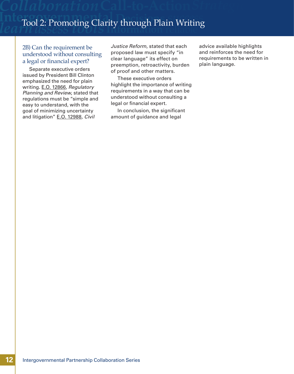## **Interfool 2: Promoting Clarity through Pla Information** n Writing *learn assesstools* reliable Tool 2: Promoting Clarity through Plain Writing

## 2B) Can the requirement be understood without consulting a legal or financial expert?

Separate executive orders issued by President Bill Clinton emphasized the need for plain writing. [E.O. 12866,](http://www.whitehouse.gov/sites/default/files/omb/inforeg/eo12866/eo12866_10041993.pdf) *Regulatory Planning and Review*, stated that regulations must be "simple and easy to understand, with the goal of minimizing uncertainty and litigation" [E.O. 12988,](http://www.gpo.gov/fdsys/pkg/FR-1996-02-07/pdf/96-2755.pdf) *Civil* 

*Justice Reform*, stated that each proposed law must specify "in clear language" its effect on preemption, retroactivity, burden of proof and other matters.

These executive orders highlight the importance of writing requirements in a way that can be understood without consulting a legal or financial expert.

In conclusion, the significant amount of guidance and legal

advice available highlights and reinforces the need for requirements to be written in plain language.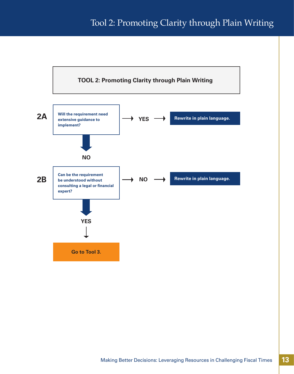## Tool 2: Promoting Clarity through Plain Writing

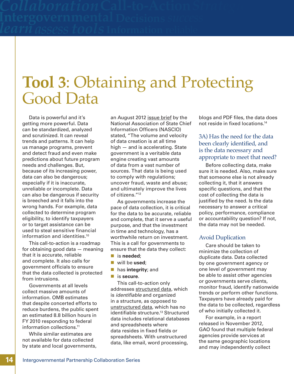# **Tool 3**: Obtaining and Protecting Good Data

Data is powerful and it's getting more powerful. Data can be standardized, analyzed and scrutinized. It can reveal trends and patterns. It can help us manage programs, prevent and detect fraud and even make predictions about future program needs and challenges. But, because of its increasing power, data can also be dangerous; especially if it is inaccurate, unreliable or incomplete. Data can also be dangerous if security is breeched and it falls into the wrong hands. For example, data collected to determine program eligibility, to identify taxpayers or to target assistance can be used to steal sensitive financial information and identities.10

This call-to-action is a roadmap for obtaining good data — meaning that it is accurate, reliable and complete. It also calls for government officials to ensure that the data collected is protected from intrusions.

Governments at all levels collect massive amounts of information. OMB estimates that despite concerted efforts to reduce burdens, the public spent an estimated 8.8 billion hours in FY 2010 responding to federal information collections.<sup>11</sup>

While similar estimates are not available for data collected by state and local governments, an August 2012 [issue brief](http://www.nascio.org/publications/documents/NASCIO_BigData_August2012.pdf) by the National Association of State Chief Information Officers (NASCIO) stated, "The volume and velocity of data creation is at all time high — and is accelerating. State government is a veritable data engine creating vast amounts of data from a vast number of sources. That data is being used to comply with regulations; uncover fraud, waste and abuse; and ultimately improve the lives of citizens."12

As governments increase the pace of data collection, it is critical for the data to be accurate, reliable and complete, that it serve a useful purpose, and that the investment in time and technology, has a worthwhile return on investment. This is a call for governments to ensure that the data they collect:

- is **needed**;
- will be **used**;
- **has integrity**; and
- is **secure**.

This call-to-action only addresses [structured data,](http://www.webopedia.com/TERM/S/structured_data.html) which is *identifiable* and organized in a structure, as opposed to [unstructured data,](http://www.pcmag.com/encyclopedia_term/0,1237,t=unstructured+data&i=53486,00.asp) which has no identifiable structure.<sup>13</sup> Structured data includes relational databases and spreadsheets where data resides in fixed fields or spreadsheets. With unstructured data, like email, word processing,

blogs and PDF files, the data does not reside in fixed locations.14

## 3A) Has the need for the data been clearly identified, and is the data necessary and appropriate to meet that need?

Before collecting data, make sure it is needed. Also, make sure that someone else is not already collecting it, that it answers specific questions, and that the cost of collecting the data is justified by the need. Is the data necessary to answer a critical policy, performance, compliance or accountability question? If not, the data may not be needed.

## Avoid Duplication

Care should be taken to minimize the collection of duplicate data. Data collected by one government agency or one level of government may be able to assist other agencies or governments serve clients, monitor fraud, identify nationwide trends or perform other functions. Taxpayers have already paid for the data to be collected, regardless of who initially collected it.

For example, in a report released in November 2012, GAO found that multiple federal agencies provide services at the same geographic locations and may independently collect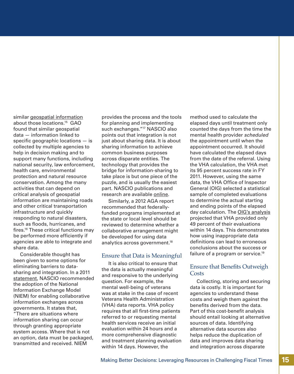similar [geospatial information](http://gao.gov/products/GAO-13-94) about those locations.15 GAO found that similar geospatial data — information linked to specific geographic locations — is collected by multiple agencies to help in decision making and to support many functions, including national security, law enforcement, health care, environmental protection and natural resource conservation. Among the many activities that can depend on critical analysis of geospatial information are maintaining roads and other critical transportation infrastructure and quickly responding to natural disasters, such as floods, hurricanes, and fires.16 These critical functions may be performed more efficiently if agencies are able to integrate and share data.

Considerable thought has been given to some options for eliminating barriers to datasharing and integration. In a 2011 [statement](http://www.nascio.org/advocacy/current/NASCIO_Statement_of_Support_for_Adoption_of_NIEM.pdf), NASCIO recommended the adoption of the National Information Exchange Model (NIEM) for enabling collaborative information exchanges across governments. It states that, "There are situations where information sharing can occur through granting appropriate system access. Where that is not an option, data must be packaged, transmitted and received. NIEM

provides the process and the tools for planning and implementing such exchanges."17 NASCIO also points out that integration is not just about sharing data. It is about sharing information to achieve common business purposes across disparate entities. The technology that provides the bridge for information-sharing to take place is but one piece of the puzzle, and is usually the easiest part. NASCIO publications and research are available [online.](http://www.nascio.org/advocacy/current/)

Similarly, a 2012 AGA report recommended that federallyfunded programs implemented at the state or local level should be reviewed to determine whether a collaborative arrangement might be developed for using data analytics across government.18

## Ensure that Data is Meaningful

It is also critical to ensure that the data is actually meaningful and responsive to the underlying question. For example, the mental well-being of veterans was at stake in the case of recent Veterans Health Administration (VHA) data reports. VHA policy requires that all first-time patients referred to or requesting mental health services receive an initial evaluation within 24 hours and a more comprehensive diagnostic and treatment planning evaluation within 14 days. However, the

method used to calculate the elapsed days until treatment only counted the days from the time the mental health provider *scheduled* the appointment until when the appointment occurred. It should have calculated the elapsed days from the date of the referral. Using the VHA calculation, the VHA met its 95 percent success rate in FY 2011. However, using the same data, the VHA Office of Inspector General (OIG) selected a statistical sample of completed evaluations to determine the actual starting and ending points of the elapsed day calculation. The [OIG's analysis](http://www.va.gov/oig/pubs/VAOIG-12-00900-168.pdf) projected that VHA provided only 49 percent of their evaluations within 14 days. This demonstrates how using inappropriate data definitions can lead to erroneous conclusions about the success or failure of a program or service.<sup>19</sup>

## Ensure that Benefits Outweigh **Costs**

Collecting, storing and securing data is costly. It is important for agencies to understand these costs and weigh them against the benefits derived from the data. Part of this cost-benefit analysis should entail looking at alternative sources of data. Identifying alternative data sources also helps reduce the duplication of data and improves data sharing and integration across disparate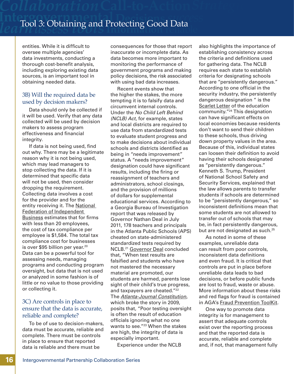entities. While it is difficult to oversee multiple agencies' data investments, conducting a thorough cost-benefit analysis, including exploring existing data sources, is an important tool in obtaining needed data.

## 3B) Will the required data be used by decision makers?

Data should only be collected if it will be used. Verify that any data collected will be used by decision makers to assess program effectiveness and financial integrity.

If data is not being used, find out why. There may be a legitimate reason why it is not being used, which may lead managers to stop collecting the data. If it is determined that specific data will not be used, then consider dropping the requirement. Collecting data involves a cost for the provider and for the [entity receiving it. The National](http://www.nfib.com/advocacy/item?cmsid=59205) Federation of Independent Business estimates that for firms with less than 20 employees, the cost of tax compliance per employee is \$1,584. The total tax compliance cost for businesses is over \$95 billion per year.<sup>20</sup> Data can be a powerful tool for assessing needs, managing programs and conducting program oversight, but data that is not used or analyzed in some fashion is of little or no value to those providing or collecting it.

## 3C) Are controls in place to ensure that the data is accurate, reliable and complete?

To be of use to decision-makers, data must be accurate, reliable and complete. There must be controls in place to ensure that reported data is reliable and there must be

consequences for those that report inaccurate or incomplete data. As data becomes more important to monitoring the performance of government programs and making policy decisions, the risk associated with using bad data increases.

Recent events show that the higher the stakes, the more tempting it is to falsify data and circumvent internal controls. Under the *No Child Left Behind (NCLB) Act*, for example, states and local districts are required to use data from standardized tests to evaluate student progress and to make decisions about individual schools and districts identified as being in "needs improvement" status. A "needs improvement" designation could have significant results, including the firing or reassignment of teachers and administrators, school closings, and the provision of millions of dollars for supplemental educational services. According to a Georgia Bureau of Investigation report that was released by Governor Nathan Deal in July 2011, 178 teachers and principals in the Atlanta Public Schools (APS) cheated on state-administered standardized tests required by NCLB.21 [Governor Deal](http://gov.georgia.gov/press-releases/2011-07-05/deal-releases-findings-atlanta-school-probe) concluded that, "When test results are falsified and students who have not mastered the necessary material are promoted, our students are harmed, parents lose sight of their child's true progress, and taxpayers are cheated."<sup>22</sup> The *[Atlanta-Journal Constitution](http://www.ajc.com/news/news/more-cheating-scandals-inevitable-as-states-cant-e/nSPqj/)*, which broke the story in 2009, posits that, "Poor testing oversight is often the result of education officials ignoring what no one wants to see."23 When the stakes are high, the integrity of data is especially important.

Experience under the NCLB

also highlights the importance of establishing consistency across the criteria and definitions used for gathering data. The NCLB requires each state to establish criteria for designating schools that are "persistently dangerous." According to one official in the security industry, the persistently dangerous designation " is the **[Scarlet Letter](http://www.schoolsecurity.org/trends/persistently_dangerous.html) of the education** community."24 This designation can have significant effects on local economies because residents don't want to send their children to these schools, thus driving down property values in the area. Because of this, individual states can loosen their definition to avoid having their schools designated as "persistently dangerous." Kenneth S. Trump, President of National School Safety and Security Services, explained that the law allows parents to transfer students if schools are determined to be "persistently dangerous," so inconsistent definitions mean that some students are not allowed to transfer out of schools that may be, in fact persistently dangerous, but are not designated as such.<sup>25</sup>

As noted in some of these examples, unreliable data can result from poor controls, inconsistent data definitions and even fraud. It is critical that controls are put in place before unreliable data leads to bad decisions, or before public funds are lost to fraud, waste or abuse. More information about these risks and red flags for fraud is contained in AGA's [Fraud Prevention ToolKit](http://www2.agacgfm.org/tools/FraudPrevention/).

One way to promote data integrity is for management to assert that adequate controls exist over the reporting process and that the reported data is accurate, reliable and complete and, if not, that management fully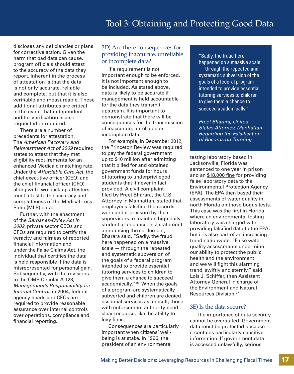discloses any deficiencies or plans for corrective action. Given the harm that bad data can cause, program officials should attest to the accuracy of the data they report. Inherent in the process of attestation is that the data is not only accurate, reliable and complete, but that it is also verifiable and measureable. These additional attributes are critical in the event that independent auditor verification is also requested or required.

There are a number of precedents for attestation. The *American Recovery and Reinvestment Act of 2009* required states to attest that they met eligibility requirements for an enhanced Medicaid matching rate. Under the *Affordable Care Act*, the chief executive officer (CEO) and the chief financial officer (CFO), along with two back-up attesters must attest to the accuracy and completeness of the Medical Loss Ratio (MLR) data.

Further, with the enactment of the *Sarbanes-Oxley Act in 2002*, private sector CEOs and CFOs are required to certify the veracity and fairness of reported financial information and, under the False Claims Act, the individual that certifies the data is held responsible if the data is misrepresented for personal gain. Subsequently, with the revisions to the OMB Circular A-123, *Management's Responsibility for Internal Control*, in 2004, federal agency heads and CFOs are required to provide reasonable assurance over internal controls over operations, compliance and financial reporting.

## 3D) Are there consequences for providing inaccurate, unreliable or incomplete data?

If a requirement is not important enough to be enforced, it is not important enough to be included. As stated above, data is likely to be accurate if management is held accountable for the data they transmit upstream. It is important to demonstrate that there will be consequences for the transmission of inaccurate, unreliable or incomplete data.

For example, in December 2012, the Princeton Review was required to pay the federal government up to \$10 million after admitting that it billed for and obtained government funds for hours of tutoring to underprivileged students that it never in fact provided. A civil [complaint](http://www.justice.gov/usao/nys/pressreleases/May12/princeton/princetonreviewcomplaint.pdf) filed by Preet Bharara, the U.S. Attorney in Manhattan, stated that employees falsified the records were under pressure by their supervisors to maintain high daily student attendance. In a [statement](http://www.justice.gov/usao/nys/pressreleases/December12/PrincetonReviewSettlement.php) announcing the settlement, Bharara said, "Sadly, the fraud here happened on a massive scale — through the repeated and systematic subversion of the goals of a federal program intended to provide essential tutoring services to children to give them a chance to succeed academically."26 When the goals of a program are systematically subverted and children are denied essential services as a result, those with enforcement authority need clear recourse, like the ability to levy fines.

Consequences are particularly important when citizens' wellbeing is at stake. In 1996, the president of an environmental

"Sadly, the fraud here happened on a massive scale — through the repeated and systematic subversion of the goals of a federal program intended to provide essential tutoring services to children to give them a chance to succeed academically."

*Preet Bharara, United States Attorney, Manhattan Regarding the Falsification of Records on Tutoring*

testing laboratory based in Jacksonville, Florida was sentenced to one year in prison and an [\\$18,000 fine](http://www.justice.gov/opa/pr/1996/February96/067.txt) for providing false laboratory data to the Environmental Protection Agency (EPA). The EPA then based their assessments of water quality in north Florida on those bogus tests. This case was the first in Florida where an environmental testing laboratory was charged with providing falsified data to the EPA, but it is also part of an increasing trend nationwide. "False water quality assessments undermine our ability to protect the public health and the environment and we will fight this alarming trend, swiftly and sternly," said Lois J. Schiffer, then Assistant Attorney General in charge of the Environment and Natural Resources Division.27

## 3E) Is the data secure?

The importance of data security cannot be overstated. Government data must be protected because it contains particularly sensitive information. If government data is accessed unlawfully, serious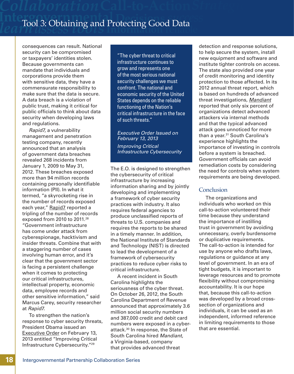consequences can result. National security can be compromised or taxpayers' identities stolen. Because governments can mandate that individuals and corporations provide them with sensitive data, they have a commensurate responsibility to make sure that the data is secure. A data breach is a violation of public trust, making it critical for public officials to think about data security when developing laws and regulations.

*Rapid7*, a vulnerability management and penetration testing company, recently announced that an analysis of government data breaches revealed 268 incidents from January 1, 2009 to May 31, 2012. These breaches exposed more than 94 million records containing personally identifiable information (PII). In what it termed, "a skyrocketing rise in the number of records exposed each year," [Rapid7](http://www.sctax.org/NR/rdonlyres/5AF6995A-F9F0-42E7-A430-EC620CCE8C7D/0/1DORmediarelease.pdf) reported a tripling of the number of records exposed from 2010 to 2011.<sup>28</sup> "Government infrastructure has come under attack from cyberespionage, hacktivism and insider threats. Combine that with a staggering number of cases involving human error, and it's clear that the government sector is facing a persistent challenge when it comes to protecting our critical infrastructures, intellectual property, economic data, employee records and other sensitive information," said Marcus Carey, security researcher at *Rapid7*.

To strengthen the nation's response to cyber security threats, President Obama issued an [Executive Order](http://www.whitehouse.gov/the-press-office/2013/02/12/executive-order-improving-critical-infrastructure-cybersecurity) on February 13, 2013 entitled "Improving Critical Infrastructure Cybersecurity."29

"The cyber threat to critical infrastructure continues to grow and represents one of the most serious national security challenges we must confront. The national and economic security of the United States depends on the reliable functioning of the Nation's critical infrastructure in the face of such threats."

*Executive Order Issued on February 13, 2013 Improving Critical Infrastructure Cybersecurity*

The E.O. is designed to strengthen the cybersecurity of critical infrastructure by increasing information sharing and by jointly developing and implementing a framework of cyber security practices with industry. It also requires federal agencies to produce unclassified reports of threats to U.S. companies and requires the reports to be shared in a timely manner. In addition, the National Institute of Standards and Technology (NIST) is directed to lead the development of a framework of cybersecurity practices to reduce cyber risks to critical infrastructure.

A recent incident in South Carolina highlights the seriousness of the cyber threat. On October 26, 2012, the South Carolina Department of Revenue announced that approximately 3.6 million social security numbers and 387,000 credit and debit card numbers were exposed in a cyberattack.30 In response, the State of South Carolina hired *Mandiant*, a Virginia-based, company that provides advanced threat

detection and response solutions, to help secure the system, install new equipment and software and institute tighter controls on access. The state also provided one year of credit monitoring and identity protection to those affected. In its 2012 annual threat report, which is based on hundreds of advanced threat investigations, *[Mandiant](http://www.mandiant.com/news/release/mandiant-releases-annual-threat-report-on-advanced-targeted-attacks/)* reported that only six percent of organizations detect advanced attackers via internal methods and that the typical advanced attack goes unnoticed for more than a year.<sup>31</sup> South Carolina's experience highlights the importance of investing in controls before a system is breached. Government officials can avoid remediation costs by considering the need for controls when system requirements are being developed.

## **Conclusion**

The organizations and individuals who worked on this call-to-action volunteered their time because they understand the importance of instilling trust in government by avoiding unnecessary, overly burdensome or duplicative requirements. The call-to-action is intended for use by anyone who drafts laws, regulations or guidance at any level of government. In an era of tight budgets, it is important to leverage resources and to promote flexibility without compromising accountability. It is our hope that, because this call-to-action was developed by a broad crosssection of organizations and individuals, it can be used as an independent, informed reference in limiting requirements to those that are essential.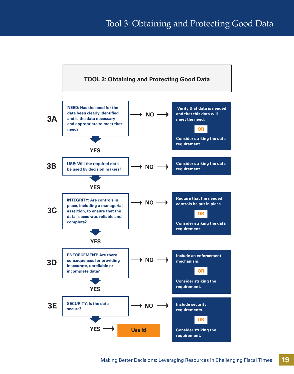## Tool 3: Obtaining and Protecting Good Data

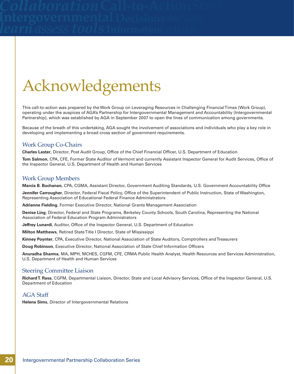# Acknowledgements

This call-to-action was prepared by the Work Group on Leveraging Resources in Challenging Financial Times (Work Group), operating under the auspices of AGA's Partnership for Intergovernmental Management and Accountability (Intergovernmental Partnership), which was established by AGA in September 2007 to open the lines of communication among governments.

Because of the breath of this undertaking, AGA sought the involvement of associations and individuals who play a key role in developing and implementing a broad cross section of government requirements.

## Work Group Co-Chairs

**Charles Laster**, Director, Post Audit Group, Office of the Chief Financial Officer, U.S. Department of Education

**Tom Salmon**, CPA, CFE, Former State Auditor of Vermont and currently Assistant Inspector General for Audit Services, Office of the Inspector General, U.S. Department of Health and Human Services

## Work Group Members

**Marcia B. Buchanan**, CPA, CGMA, Assistant Director, Government Auditing Standards, U.S. Government Accountability Office

**Jennifer Carrougher**, Director, Federal Fiscal Policy, Office of the Superintendent of Public Instruction, State of Washington, Representing Association of Educational Federal Finance Administrators

**Adrianne Fielding**, Former Executive Director, National Grants Management Association

**Denise Ling**, Director, Federal and State Programs, Berkeley County Schools, South Carolina, Representing the National Association of Federal Education Program Administrators

**Jeffrey Lunardi**, Auditor, Office of the Inspector General, U.S. Department of Education

**Milton Matthews**, Retired State Title I Director, State of Mississippi

**Kinney Poynter**, CPA, Executive Director, National Association of State Auditors, Comptrollers and Treasurers

**Doug Robinson**, Executive Director, National Association of State Chief Information Officers

**Anuradha Sharma**, MA, MPH, MCHES, CGFM, CFE, CRMA Public Health Analyst, Health Resources and Services Administration, U.S. Department of Health and Human Services

## Steering Committee Liaison

**Richard T. Rasa**, CGFM, Departmental Liaison, Director, State and Local Advisory Services, Office of the Inspector General, U.S. Department of Education

## AGA Staff

**Helena Sims**, Director of Intergovernmental Relations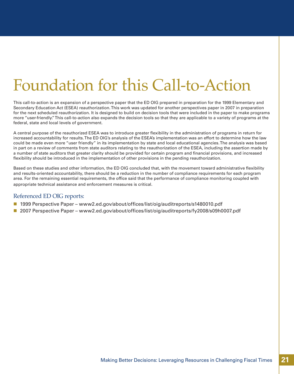# Foundation for this Call-to-Action

This call-to-action is an expansion of a perspective paper that the ED OIG prepared in preparation for the 1999 Elementary and Secondary Education Act (ESEA) reauthorization. This work was updated for another perspectives paper in 2007 in preparation for the next scheduled reauthorization. It is designed to build on decision tools that were included in the paper to make programs more "user-friendly." This call-to-action also expands the decision tools so that they are applicable to a variety of programs at the federal, state and local levels of government.

A central purpose of the reauthorized ESEA was to introduce greater flexibility in the administration of programs in return for increased accountability for results. The ED OIG's analysis of the ESEA's implementation was an effort to determine how the law could be made even more "user friendly" in its implementation by state and local educational agencies. The analysis was based in part on a review of comments from state auditors relating to the reauthorization of the ESEA, including the assertion made by a number of state auditors that greater clarity should be provided for certain program and financial provisions, and increased flexibility should be introduced in the implementation of other provisions in the pending reauthorization.

Based on these studies and other information, the ED OIG concluded that, with the movement toward administrative flexibility and results-oriented accountability, there should be a reduction in the number of compliance requirements for each program area. For the remaining essential requirements, the office said that the performance of compliance monitoring coupled with appropriate technical assistance and enforcement measures is critical.

## Referenced ED OIG reports:

- 1999 Perspective Paper www2.ed.gov/about/offices/list/oig/auditreports/s1480010.pdf
- 2007 Perspective Paper <www2.ed.gov/about/offices/list/oig/auditreports/fy2008/s09h0007.pdf>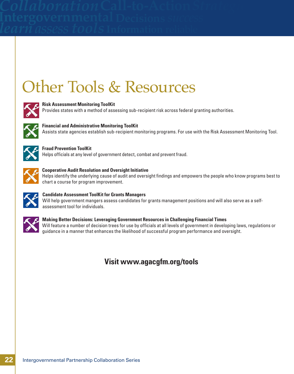# Other Tools & Resources



## **Risk Assessment Monitoring ToolKit**

Provides states with a method of assessing sub-recipient risk across federal granting authorities.



## **Financial and Administrative Monitoring ToolKit** Assists state agencies establish sub-recipient monitoring programs. For use with the Risk Assessment Monitoring Tool.



## **Fraud Prevention ToolKit** Helps officials at any level of government detect, combat and prevent fraud.



**Cooperative Audit Resolution and Oversight Initiative** Helps identify the underlying cause of audit and oversight findings and empowers the people who know programs best to chart a course for program improvement.



## **Candidate Assessment ToolKit for Grants Managers**

Will help government mangers assess candidates for grants management positions and will also serve as a selfassessment tool for individuals.



## **Making Better Decisions: Leveraging Government Resources in Challenging Financial Times** Will feature a number of decision trees for use by officials at all levels of government in developing laws, regulations or guidance in a manner that enhances the likelihood of successful program performance and oversight.

## **Visit www.agacgfm.org/tools**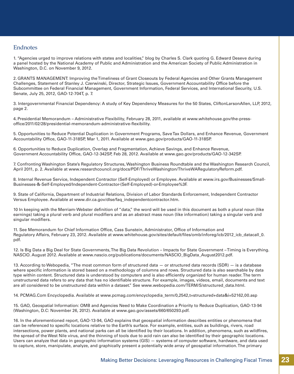## **Endnotes**

1. "Agencies urged to improve relations with states and localities," blog by Charles S. Clark quoting G. Edward Deseve during a panel hosted by the National Academy of Public and Administration and the American Society of Public Administration in Washington, D.C. on November 9, 2012.

2. GRANTS MANAGEMENT: Improving the Timeliness of Grant Closeouts by Federal Agencies and Other Grants Management Challenges, Statement of Stanley J. Czerwinski, Director, Strategic Issues, Government Accountability Office before the Subcommittee on Federal Financial Management, Government Information, Federal Services, and International Security, U.S. Senate, July 25, 2012, GAO-12-704T, p. 7.

3. Intergovernmental Financial Dependency: A study of Key Dependency Measures for the 50 States, CliftonLarsonAllen, LLP, 2012, page 2.

4. Presidential Memorandum – Administrative Flexibility, February 28, 2011, available at www.whitehouse.gov/the-pressoffice/2011/02/28/presidential-memorandum-administrative-flexibility.

5. Opportunities to Reduce Potential Duplication in Government Programs, Save Tax Dollars, and Enhance Revenue, Government Accountability Office, GAO-11-318SP, Mar 1, 2011. Available at www.gao.gov/products/GAO-11-318SP.

6. Opportunities to Reduce Duplication, Overlap and Fragmentation, Achieve Savings, and Enhance Revenue, Government Accountability Office, GAO-12-342SP, Feb 28, 2012. Available at www.gao.gov/products/GAO-12-342SP.

7. Confronting Washington State's Regulatory Structures, Washington Business Roundtable and the Washington Research Council, April 2011, p. 2. Available at www.researchcouncil.org/docs/PDF/ThriveWashington/ThriveWARegulatoryReform.pdf.

8. Internal Revenue Service, Independent Contractor (Self-Employed) or Employee. Available at www.irs.gov/Businesses/Small-Businesses-&-Self-Employed/Independent-Contractor-(Self-Employed)-or-Employee%3F.

9. State of California, Department of Industrial Relations, Division of Labor Standards Enforcement, Independent Contractor Versus Employee. Available at www.dir.ca.gov/dlse/faq\_independentcontractor.htm.

10 In keeping with the Merriam-Webster definition of "data," the word will be used in this document as both a plural noun (like earnings) taking a plural verb and plural modifiers and as an abstract mass noun (like information) taking a singular verb and singular modifiers.

11. See Memorandum for Chief Information Office, Cass Sunstein, Administrator, Office of Information and Regulatory Affairs, February 23, 2012. Available at www.whitehouse.gov/sites/default/files/omb/inforeg/icb/2012\_icb\_datacall\_0. pdf.

12. Is Big Data a Big Deal for State Governments, The Big Data Revolution – Impacts for State Government – Timing is Everything. NASCIO. August 2012. Available at www.nascio.org/publications/documents/NASCIO\_BigData\_August2012.pdf.

13. According to Webopedia, "The most common form of structured data — or structured data records (SDR) — is a database where specific information is stored based on a methodology of columns and rows. Structured data is also searchable by data type within content. Structured data is understood by computers and is also efficiently organized for human reader. The term unstructured data refers to any data that has no identifiable structure. For example, images, videos, email, documents and text are all considered to be unstructured data within a dataset." See www.webopedia.com/TERM/S/structured\_data.html.

14. PCMAG.Com Encyclopedia. Available at www.pcmag.com/encyclopedia\_term/0,2542,t=structured+data&i=52162,00.asp

15. GAO, Geospatial Information: OMB and Agencies Need to Make Coordination a Priority to Reduce Duplication, GAO-13-94 (Washington, D.C: November 26, 2012). Available at www.gao.gov/assets/660/650293.pdf.

16. In the aforementioned report, GAO-13-94, GAO explains that geospatial information describes entities or phenomena that can be referenced to specific locations relative to the Earth's surface. For example, entities, such as buildings, rivers, road intersections, power plants, and national parks can all be identified by their locations. In addition, phenomena, such as wildfires, the spread of the West Nile virus, and the thinning of tools due to acid rain can also be identified by their geographic locations. Users can analyze that data in geographic information systems (GIS) — systems of computer software, hardware, and data used to capture, store, manipulate, analyze, and graphically present a potentially wide array of geospatial information. The primary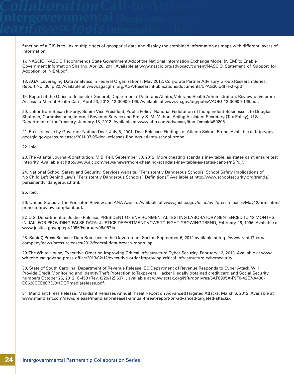function of a GIS is to link multiple sets of geospatial data and display the combined information as maps with different layers of information.

17. NASCIO, NASCIO Recommends State Government Adopt the National Information Exchange Model (NIEM) to Enable Government Information Sharing, April28, 2011. Available at www.nascio.org/advocacy/current/NASCIO\_Statement\_of\_Support\_for\_ Adoption\_of\_NIEM.pdf.

18. AGA, Leveraging Data Analytics in Federal Organizations, May 2012, Corporate Partner Advisory Group Research Series, Report No. 30, p.32. Available at www.agacgfm.org/AGA/ResearchPublications/documents/CPAG30.pdf?ext=.pdf.

19. Report of the Office of Inspector General, Department of Veterans Affairs, Veterans Health Administration: Review of Veteran's Access to Mental Health Care, April 23, 2012, 12-00900-168. Available at www.va.gov/oig/pubs/VAOIG-12-00900-168.pdf.

20. Letter from Susan Eckerly, Senior Vice President, Public Policy, National Federation of Independent Businesses, to Douglas Shulman, Commissioner, Internal Revenue Service and Emily S. McMahon, Acting Assistant Secretary (Tax Policy), U.S. Department of the Treasury, January 18, 2012. Available at www.nfib.com/advocacy/item?cmsid=59205.

21. Press release by Governor Nathan Deal, July 5, 2001, Deal Releases Findings of Atlanta School Probe. Available at http://gov. georgia.gov/press-releases/2011-07-05/deal-releases-findings-atlanta-school-probe.

22. Ibid.

23. The Atlanta Journal-Constitution, M.B. Pell, September 30, 2012, More cheating scandals inevitable, as states can't ensure test integrity. Available at http://www.ajc.com/news/news/more-cheating-scandals-inevitable-as-states-cant-e/nSPqj/.

24. National School Safety and Security Services website, "Persistently Dangerous Schools: School Safety Implications of No Child Left Behind Law's "Persistently Dangerous Schools" Definitions." Available at http://www.schoolsecurity.org/trends/ persistently\_dangerous.html.

25. Ibid.

26. United States v. The Princeton Review and ANA Azocar. Available at www.justice.gov/usao/nys/pressreleases/May12/princeton/ princetonreviewcomplaint.pdf.

27. U.S. Department of Justice Release, PRESIDENT OF ENVIRONMENTAL TESTING LABORATORY SENTENCED TO 12 MONTHS IN JAIL FOR PROVIDING FALSE DATA: JUSTICE DEPARTMENT VOWS TO FIGHT GROWING TREND, February 26, 1996. Available at www.justice.gov/opa/pr/1996/February96/067.txt.

28. Rapid7, Press Release: Data Breeches in the Government Sector, September 6, 2012 available at http://www.rapid7.com/ company/news/press-releases/2012/federal-data-breach-report.jsp.

29. The White House, Executive Order on Improving Critical Infrastructure Cyber Security, February 12, 2013. Available at www. whitehouse.gov/the-press-office/2013/02/12/executive-order-improving-critical-infrastructure-cybersecurity.

30. State of South Carolina, Department of Revenue Release, SC Department of Revenue Responds to Cyber Attack, Will Provide Credit Monitoring and Identity Theft Protection to Taxpayers, Hacker illegally obtained credit card and Social Security numbers October 26, 2012, C-450 (Rev. 8/29/12) 6371, available at www.sctax.org/NR/rdonlyres/5AF6995A-F9F0-42E7-A430- EC620CCE8C7D/0/1DORmediarelease.pdf.

31. Mandiant Press Release, Mandiant Releases Annual Threat Report on Advanced Targeted Attacks, March 6, 2012. Available at www.mandiant.com/news/release/mandiant-releases-annual-threat-report-on-advanced-targeted-attacks/.